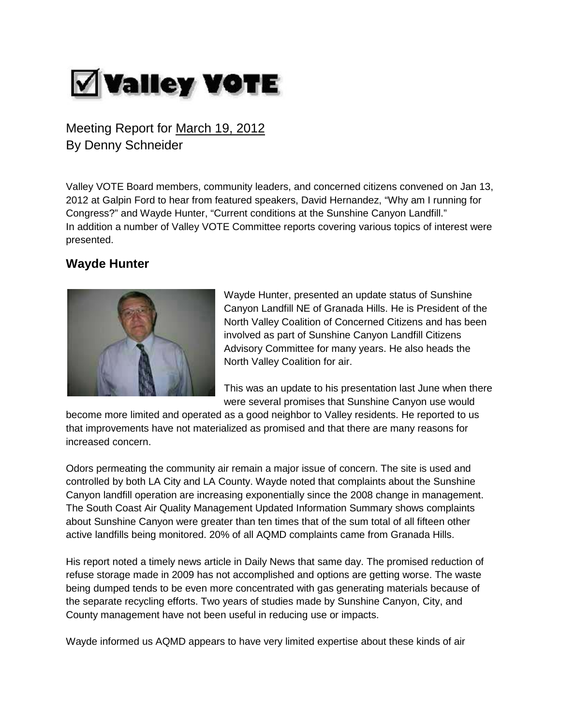# **Valley VOTE**

Meeting Report for March 19, 2012 By Denny Schneider

Valley VOTE Board members, community leaders, and concerned citizens convened on Jan 13, 2012 at Galpin Ford to hear from featured speakers, David Hernandez, "Why am I running for Congress?" and Wayde Hunter, "Current conditions at the Sunshine Canyon Landfill." In addition a number of Valley VOTE Committee reports covering various topics of interest were presented.

## **Wayde Hunter**



Wayde Hunter, presented an update status of Sunshine Canyon Landfill NE of Granada Hills. He is President of the North Valley Coalition of Concerned Citizens and has been involved as part of Sunshine Canyon Landfill Citizens Advisory Committee for many years. He also heads the North Valley Coalition for air.

This was an update to his presentation last June when there were several promises that Sunshine Canyon use would

become more limited and operated as a good neighbor to Valley residents. He reported to us that improvements have not materialized as promised and that there are many reasons for increased concern.

Odors permeating the community air remain a major issue of concern. The site is used and controlled by both LA City and LA County. Wayde noted that complaints about the Sunshine Canyon landfill operation are increasing exponentially since the 2008 change in management. The South Coast Air Quality Management Updated Information Summary shows complaints about Sunshine Canyon were greater than ten times that of the sum total of all fifteen other active landfills being monitored. 20% of all AQMD complaints came from Granada Hills.

His report noted a timely news article in Daily News that same day. The promised reduction of refuse storage made in 2009 has not accomplished and options are getting worse. The waste being dumped tends to be even more concentrated with gas generating materials because of the separate recycling efforts. Two years of studies made by Sunshine Canyon, City, and County management have not been useful in reducing use or impacts.

Wayde informed us AQMD appears to have very limited expertise about these kinds of air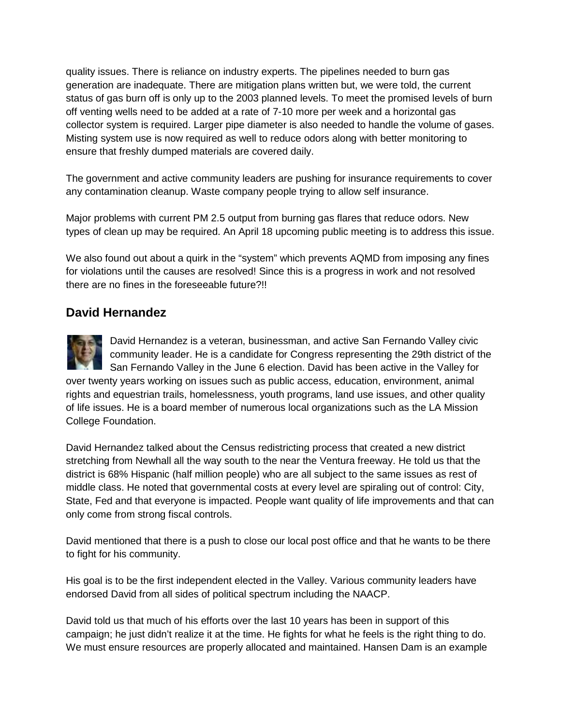quality issues. There is reliance on industry experts. The pipelines needed to burn gas generation are inadequate. There are mitigation plans written but, we were told, the current status of gas burn off is only up to the 2003 planned levels. To meet the promised levels of burn off venting wells need to be added at a rate of 7-10 more per week and a horizontal gas collector system is required. Larger pipe diameter is also needed to handle the volume of gases. Misting system use is now required as well to reduce odors along with better monitoring to ensure that freshly dumped materials are covered daily.

The government and active community leaders are pushing for insurance requirements to cover any contamination cleanup. Waste company people trying to allow self insurance.

Major problems with current PM 2.5 output from burning gas flares that reduce odors. New types of clean up may be required. An April 18 upcoming public meeting is to address this issue.

We also found out about a quirk in the "system" which prevents AQMD from imposing any fines for violations until the causes are resolved! Since this is a progress in work and not resolved there are no fines in the foreseeable future?!!

### **David Hernandez**

David Hernandez is a veteran, businessman, and active San Fernando Valley civic community leader. He is a candidate for Congress representing the 29th district of the San Fernando Valley in the June 6 election. David has been active in the Valley for over twenty years working on issues such as public access, education, environment, animal rights and equestrian trails, homelessness, youth programs, land use issues, and other quality of life issues. He is a board member of numerous local organizations such as the LA Mission College Foundation.

David Hernandez talked about the Census redistricting process that created a new district stretching from Newhall all the way south to the near the Ventura freeway. He told us that the district is 68% Hispanic (half million people) who are all subject to the same issues as rest of middle class. He noted that governmental costs at every level are spiraling out of control: City, State, Fed and that everyone is impacted. People want quality of life improvements and that can only come from strong fiscal controls.

David mentioned that there is a push to close our local post office and that he wants to be there to fight for his community.

His goal is to be the first independent elected in the Valley. Various community leaders have endorsed David from all sides of political spectrum including the NAACP.

David told us that much of his efforts over the last 10 years has been in support of this campaign; he just didn't realize it at the time. He fights for what he feels is the right thing to do. We must ensure resources are properly allocated and maintained. Hansen Dam is an example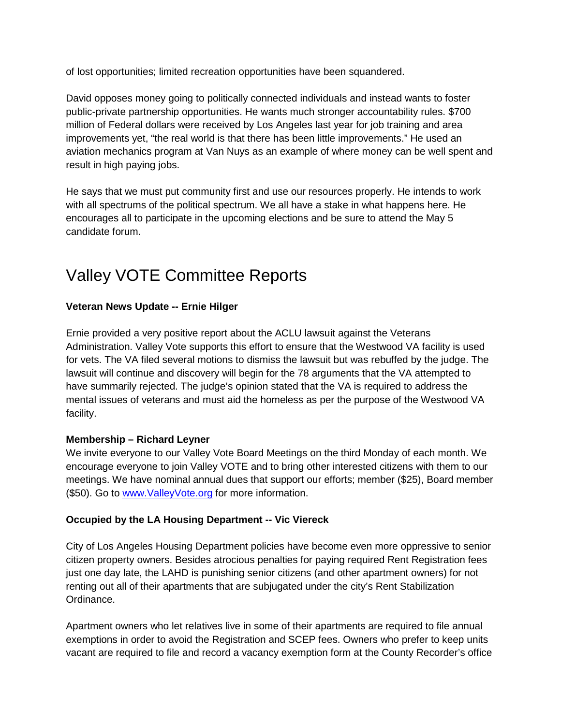of lost opportunities; limited recreation opportunities have been squandered.

David opposes money going to politically connected individuals and instead wants to foster public-private partnership opportunities. He wants much stronger accountability rules. \$700 million of Federal dollars were received by Los Angeles last year for job training and area improvements yet, "the real world is that there has been little improvements." He used an aviation mechanics program at Van Nuys as an example of where money can be well spent and result in high paying jobs.

He says that we must put community first and use our resources properly. He intends to work with all spectrums of the political spectrum. We all have a stake in what happens here. He encourages all to participate in the upcoming elections and be sure to attend the May 5 candidate forum.

# Valley VOTE Committee Reports

#### **Veteran News Update -- Ernie Hilger**

Ernie provided a very positive report about the ACLU lawsuit against the Veterans Administration. Valley Vote supports this effort to ensure that the Westwood VA facility is used for vets. The VA filed several motions to dismiss the lawsuit but was rebuffed by the judge. The lawsuit will continue and discovery will begin for the 78 arguments that the VA attempted to have summarily rejected. The judge's opinion stated that the VA is required to address the mental issues of veterans and must aid the homeless as per the purpose of the Westwood VA facility.

#### **Membership – Richard Leyner**

We invite everyone to our Valley Vote Board Meetings on the third Monday of each month. We encourage everyone to join Valley VOTE and to bring other interested citizens with them to our meetings. We have nominal annual dues that support our efforts; member (\$25), Board member (\$50). Go to [www.ValleyVote.org](http://www.valleyvote.org/) for more information.

#### **Occupied by the LA Housing Department -- Vic Viereck**

City of Los Angeles Housing Department policies have become even more oppressive to senior citizen property owners. Besides atrocious penalties for paying required Rent Registration fees just one day late, the LAHD is punishing senior citizens (and other apartment owners) for not renting out all of their apartments that are subjugated under the city's Rent Stabilization Ordinance.

Apartment owners who let relatives live in some of their apartments are required to file annual exemptions in order to avoid the Registration and SCEP fees. Owners who prefer to keep units vacant are required to file and record a vacancy exemption form at the County Recorder's office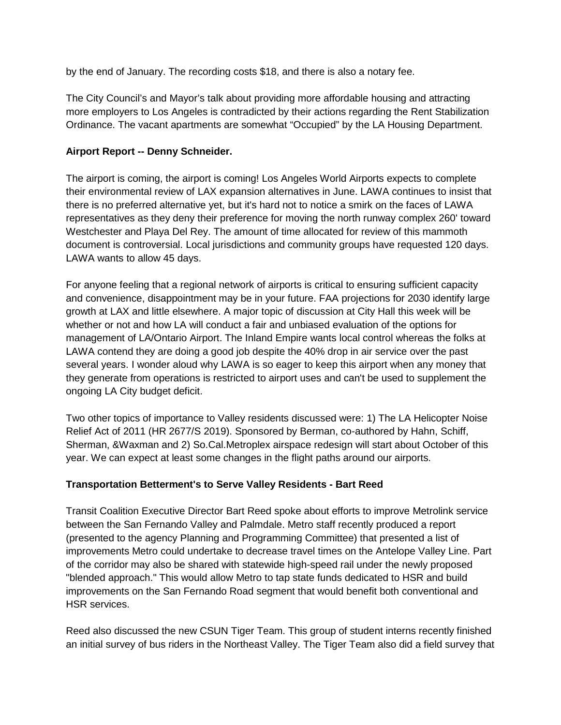by the end of January. The recording costs \$18, and there is also a notary fee.

The City Council's and Mayor's talk about providing more affordable housing and attracting more employers to Los Angeles is contradicted by their actions regarding the Rent Stabilization Ordinance. The vacant apartments are somewhat "Occupied" by the LA Housing Department.

#### **Airport Report -- Denny Schneider.**

The airport is coming, the airport is coming! Los Angeles World Airports expects to complete their environmental review of LAX expansion alternatives in June. LAWA continues to insist that there is no preferred alternative yet, but it's hard not to notice a smirk on the faces of LAWA representatives as they deny their preference for moving the north runway complex 260' toward Westchester and Playa Del Rey. The amount of time allocated for review of this mammoth document is controversial. Local jurisdictions and community groups have requested 120 days. LAWA wants to allow 45 days.

For anyone feeling that a regional network of airports is critical to ensuring sufficient capacity and convenience, disappointment may be in your future. FAA projections for 2030 identify large growth at LAX and little elsewhere. A major topic of discussion at City Hall this week will be whether or not and how LA will conduct a fair and unbiased evaluation of the options for management of LA/Ontario Airport. The Inland Empire wants local control whereas the folks at LAWA contend they are doing a good job despite the 40% drop in air service over the past several years. I wonder aloud why LAWA is so eager to keep this airport when any money that they generate from operations is restricted to airport uses and can't be used to supplement the ongoing LA City budget deficit.

Two other topics of importance to Valley residents discussed were: 1) The LA Helicopter Noise Relief Act of 2011 (HR 2677/S 2019). Sponsored by Berman, co-authored by Hahn, Schiff, Sherman, &Waxman and 2) So.Cal.Metroplex airspace redesign will start about October of this year. We can expect at least some changes in the flight paths around our airports.

#### **Transportation Betterment's to Serve Valley Residents - Bart Reed**

Transit Coalition Executive Director Bart Reed spoke about efforts to improve Metrolink service between the San Fernando Valley and Palmdale. Metro staff recently produced a report (presented to the agency Planning and Programming Committee) that presented a list of improvements Metro could undertake to decrease travel times on the Antelope Valley Line. Part of the corridor may also be shared with statewide high-speed rail under the newly proposed "blended approach." This would allow Metro to tap state funds dedicated to HSR and build improvements on the San Fernando Road segment that would benefit both conventional and HSR services.

Reed also discussed the new CSUN Tiger Team. This group of student interns recently finished an initial survey of bus riders in the Northeast Valley. The Tiger Team also did a field survey that